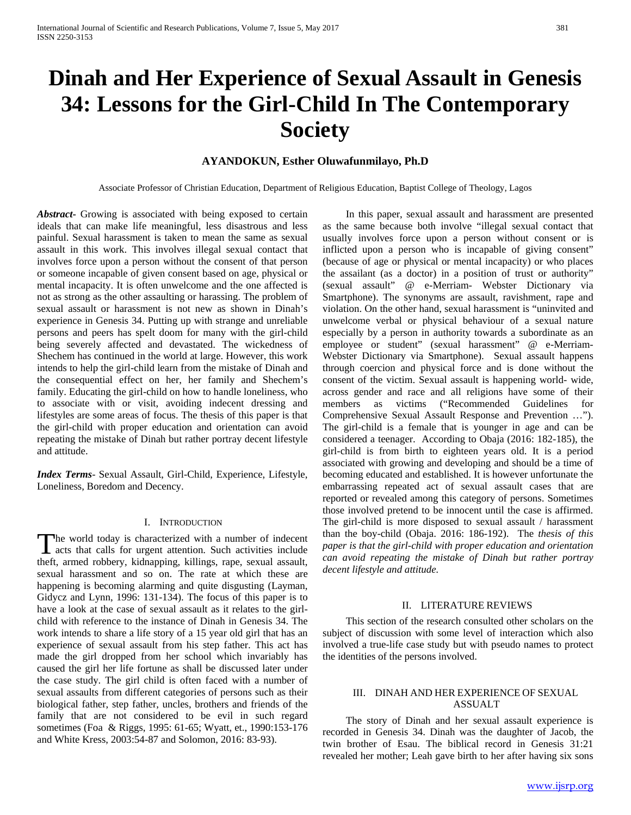# **Dinah and Her Experience of Sexual Assault in Genesis 34: Lessons for the Girl-Child In The Contemporary Society**

## **AYANDOKUN, Esther Oluwafunmilayo, Ph.D**

Associate Professor of Christian Education, Department of Religious Education, Baptist College of Theology, Lagos

*Abstract***-** Growing is associated with being exposed to certain ideals that can make life meaningful, less disastrous and less painful. Sexual harassment is taken to mean the same as sexual assault in this work. This involves illegal sexual contact that involves force upon a person without the consent of that person or someone incapable of given consent based on age, physical or mental incapacity. It is often unwelcome and the one affected is not as strong as the other assaulting or harassing. The problem of sexual assault or harassment is not new as shown in Dinah's experience in Genesis 34. Putting up with strange and unreliable persons and peers has spelt doom for many with the girl-child being severely affected and devastated. The wickedness of Shechem has continued in the world at large. However, this work intends to help the girl-child learn from the mistake of Dinah and the consequential effect on her, her family and Shechem's family. Educating the girl-child on how to handle loneliness, who to associate with or visit, avoiding indecent dressing and lifestyles are some areas of focus. The thesis of this paper is that the girl-child with proper education and orientation can avoid repeating the mistake of Dinah but rather portray decent lifestyle and attitude.

*Index Terms*- Sexual Assault, Girl-Child, Experience, Lifestyle, Loneliness, Boredom and Decency.

### I. INTRODUCTION

he world today is characterized with a number of indecent The world today is characterized with a number of indecent acts that calls for urgent attention. Such activities include theft, armed robbery, kidnapping, killings, rape, sexual assault, sexual harassment and so on. The rate at which these are happening is becoming alarming and quite disgusting (Layman, Gidycz and Lynn, 1996: 131-134). The focus of this paper is to have a look at the case of sexual assault as it relates to the girlchild with reference to the instance of Dinah in Genesis 34. The work intends to share a life story of a 15 year old girl that has an experience of sexual assault from his step father. This act has made the girl dropped from her school which invariably has caused the girl her life fortune as shall be discussed later under the case study. The girl child is often faced with a number of sexual assaults from different categories of persons such as their biological father, step father, uncles, brothers and friends of the family that are not considered to be evil in such regard sometimes (Foa & Riggs, 1995: 61-65; Wyatt, et., 1990:153-176 and White Kress, 2003:54-87 and Solomon, 2016: 83-93).

 In this paper, sexual assault and harassment are presented as the same because both involve "illegal sexual contact that usually involves force upon a person without consent or is inflicted upon a person who is incapable of giving consent" (because of age or physical or mental incapacity) or who places the assailant (as a doctor) in a position of trust or authority" (sexual assault" @ e-Merriam- Webster Dictionary via Smartphone). The synonyms are assault, ravishment, rape and violation. On the other hand, sexual harassment is "uninvited and unwelcome verbal or physical behaviour of a sexual nature especially by a person in authority towards a subordinate as an employee or student" (sexual harassment" @ e-Merriam-Webster Dictionary via Smartphone). Sexual assault happens through coercion and physical force and is done without the consent of the victim. Sexual assault is happening world- wide, across gender and race and all religions have some of their members as victims ("Recommended Guidelines for Comprehensive Sexual Assault Response and Prevention …"). The girl-child is a female that is younger in age and can be considered a teenager. According to Obaja (2016: 182-185), the girl-child is from birth to eighteen years old. It is a period associated with growing and developing and should be a time of becoming educated and established. It is however unfortunate the embarrassing repeated act of sexual assault cases that are reported or revealed among this category of persons. Sometimes those involved pretend to be innocent until the case is affirmed. The girl-child is more disposed to sexual assault / harassment than the boy-child (Obaja. 2016: 186-192). The *thesis of this paper is that the girl-child with proper education and orientation can avoid repeating the mistake of Dinah but rather portray decent lifestyle and attitude.*

### II. LITERATURE REVIEWS

 This section of the research consulted other scholars on the subject of discussion with some level of interaction which also involved a true-life case study but with pseudo names to protect the identities of the persons involved.

### III. DINAH AND HER EXPERIENCE OF SEXUAL ASSUALT

 The story of Dinah and her sexual assault experience is recorded in Genesis 34. Dinah was the daughter of Jacob, the twin brother of Esau. The biblical record in Genesis 31:21 revealed her mother; Leah gave birth to her after having six sons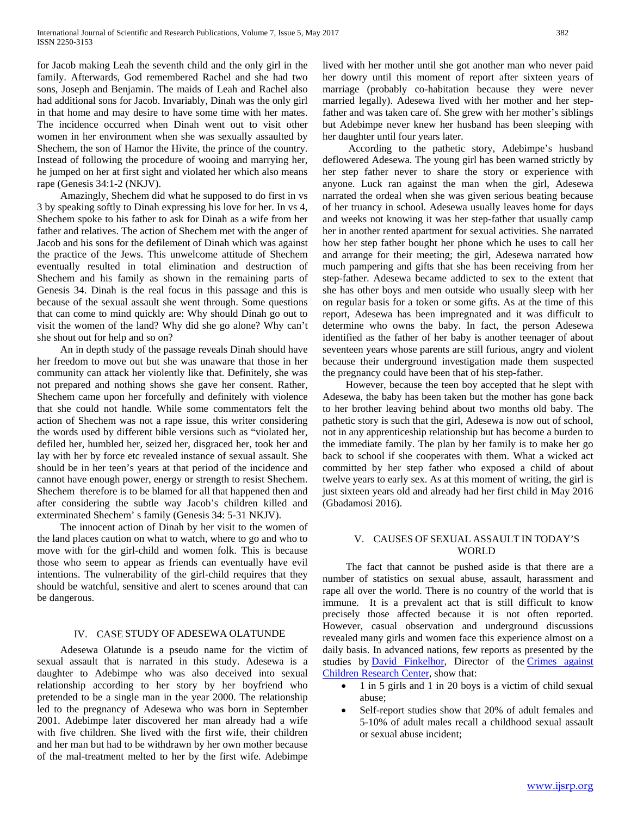for Jacob making Leah the seventh child and the only girl in the family. Afterwards, God remembered Rachel and she had two sons, Joseph and Benjamin. The maids of Leah and Rachel also had additional sons for Jacob. Invariably, Dinah was the only girl in that home and may desire to have some time with her mates. The incidence occurred when Dinah went out to visit other women in her environment when she was sexually assaulted by Shechem, the son of Hamor the Hivite, the prince of the country. Instead of following the procedure of wooing and marrying her, he jumped on her at first sight and violated her which also means rape (Genesis 34:1-2 (NKJV).

 Amazingly, Shechem did what he supposed to do first in vs 3 by speaking softly to Dinah expressing his love for her. In vs 4, Shechem spoke to his father to ask for Dinah as a wife from her father and relatives. The action of Shechem met with the anger of Jacob and his sons for the defilement of Dinah which was against the practice of the Jews. This unwelcome attitude of Shechem eventually resulted in total elimination and destruction of Shechem and his family as shown in the remaining parts of Genesis 34. Dinah is the real focus in this passage and this is because of the sexual assault she went through. Some questions that can come to mind quickly are: Why should Dinah go out to visit the women of the land? Why did she go alone? Why can't she shout out for help and so on?

 An in depth study of the passage reveals Dinah should have her freedom to move out but she was unaware that those in her community can attack her violently like that. Definitely, she was not prepared and nothing shows she gave her consent. Rather, Shechem came upon her forcefully and definitely with violence that she could not handle. While some commentators felt the action of Shechem was not a rape issue, this writer considering the words used by different bible versions such as "violated her, defiled her, humbled her, seized her, disgraced her, took her and lay with her by force etc revealed instance of sexual assault. She should be in her teen's years at that period of the incidence and cannot have enough power, energy or strength to resist Shechem. Shechem therefore is to be blamed for all that happened then and after considering the subtle way Jacob's children killed and exterminated Shechem' s family (Genesis 34: 5-31 NKJV).

 The innocent action of Dinah by her visit to the women of the land places caution on what to watch, where to go and who to move with for the girl-child and women folk. This is because those who seem to appear as friends can eventually have evil intentions. The vulnerability of the girl-child requires that they should be watchful, sensitive and alert to scenes around that can be dangerous.

### IV. CASE STUDY OF ADESEWA OLATUNDE

 Adesewa Olatunde is a pseudo name for the victim of sexual assault that is narrated in this study. Adesewa is a daughter to Adebimpe who was also deceived into sexual relationship according to her story by her boyfriend who pretended to be a single man in the year 2000. The relationship led to the pregnancy of Adesewa who was born in September 2001. Adebimpe later discovered her man already had a wife with five children. She lived with the first wife, their children and her man but had to be withdrawn by her own mother because of the mal-treatment melted to her by the first wife. Adebimpe lived with her mother until she got another man who never paid her dowry until this moment of report after sixteen years of marriage (probably co-habitation because they were never married legally). Adesewa lived with her mother and her stepfather and was taken care of. She grew with her mother's siblings but Adebimpe never knew her husband has been sleeping with her daughter until four years later.

 According to the pathetic story, Adebimpe's husband deflowered Adesewa. The young girl has been warned strictly by her step father never to share the story or experience with anyone. Luck ran against the man when the girl, Adesewa narrated the ordeal when she was given serious beating because of her truancy in school. Adesewa usually leaves home for days and weeks not knowing it was her step-father that usually camp her in another rented apartment for sexual activities. She narrated how her step father bought her phone which he uses to call her and arrange for their meeting; the girl, Adesewa narrated how much pampering and gifts that she has been receiving from her step-father. Adesewa became addicted to sex to the extent that she has other boys and men outside who usually sleep with her on regular basis for a token or some gifts. As at the time of this report, Adesewa has been impregnated and it was difficult to determine who owns the baby. In fact, the person Adesewa identified as the father of her baby is another teenager of about seventeen years whose parents are still furious, angry and violent because their underground investigation made them suspected the pregnancy could have been that of his step-father.

 However, because the teen boy accepted that he slept with Adesewa, the baby has been taken but the mother has gone back to her brother leaving behind about two months old baby. The pathetic story is such that the girl, Adesewa is now out of school, not in any apprenticeship relationship but has become a burden to the immediate family. The plan by her family is to make her go back to school if she cooperates with them. What a wicked act committed by her step father who exposed a child of about twelve years to early sex. As at this moment of writing, the girl is just sixteen years old and already had her first child in May 2016 (Gbadamosi 2016).

### V. CAUSES OF SEXUAL ASSAULT IN TODAY'S WORLD

 The fact that cannot be pushed aside is that there are a number of statistics on sexual abuse, assault, harassment and rape all over the world. There is no country of the world that is immune. It is a prevalent act that is still difficult to know precisely those affected because it is not often reported. However, casual observation and underground discussions revealed many girls and women face this experience almost on a daily basis. In advanced nations, few reports as presented by the studies by [David Finkelhor,](http://www.unh.edu/ccrc/researchers/finkelhor-david.html) Director of the Crimes against [Children Research Center,](http://www.unh.edu/ccrc/about/index.html) show that:

- 1 in 5 girls and 1 in 20 boys is a victim of child sexual abuse;
- Self-report studies show that 20% of adult females and 5-10% of adult males recall a childhood sexual assault or sexual abuse incident;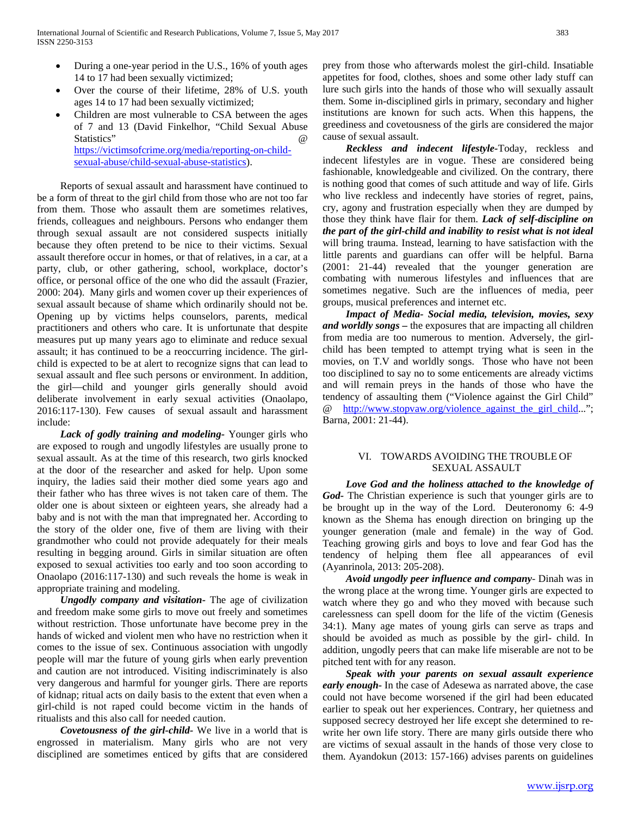- During a one-year period in the U.S., 16% of youth ages 14 to 17 had been sexually victimized;
- Over the course of their lifetime, 28% of U.S. youth ages 14 to 17 had been sexually victimized;
- Children are most vulnerable to CSA between the ages of 7 and 13 (David Finkelhor, "Child Sexual Abuse Statistics"  $\omega$ [https://victimsofcrime.org/media/reporting-on-child](https://victimsofcrime.org/media/reporting-on-child-sexual-abuse/child-sexual-abuse-statistics)[sexual-abuse/child-sexual-abuse-statistics\)](https://victimsofcrime.org/media/reporting-on-child-sexual-abuse/child-sexual-abuse-statistics).

 Reports of sexual assault and harassment have continued to be a form of threat to the girl child from those who are not too far from them. Those who assault them are sometimes relatives, friends, colleagues and neighbours. Persons who endanger them through sexual assault are not considered suspects initially because they often pretend to be nice to their victims. Sexual assault therefore occur in homes, or that of relatives, in a car, at a party, club, or other gathering, school, workplace, doctor's office, or personal office of the one who did the assault (Frazier, 2000: 204). Many girls and women cover up their experiences of sexual assault because of shame which ordinarily should not be. Opening up by victims helps counselors, parents, medical practitioners and others who care. It is unfortunate that despite measures put up many years ago to eliminate and reduce sexual assault; it has continued to be a reoccurring incidence. The girlchild is expected to be at alert to recognize signs that can lead to sexual assault and flee such persons or environment. In addition, the girl—child and younger girls generally should avoid deliberate involvement in early sexual activities (Onaolapo, 2016:117-130). Few causes of sexual assault and harassment include:

 *Lack of godly training and modeling-* Younger girls who are exposed to rough and ungodly lifestyles are usually prone to sexual assault. As at the time of this research, two girls knocked at the door of the researcher and asked for help. Upon some inquiry, the ladies said their mother died some years ago and their father who has three wives is not taken care of them. The older one is about sixteen or eighteen years, she already had a baby and is not with the man that impregnated her. According to the story of the older one, five of them are living with their grandmother who could not provide adequately for their meals resulting in begging around. Girls in similar situation are often exposed to sexual activities too early and too soon according to Onaolapo (2016:117-130) and such reveals the home is weak in appropriate training and modeling.

 *Ungodly company and visitation-* The age of civilization and freedom make some girls to move out freely and sometimes without restriction. Those unfortunate have become prey in the hands of wicked and violent men who have no restriction when it comes to the issue of sex. Continuous association with ungodly people will mar the future of young girls when early prevention and caution are not introduced. Visiting indiscriminately is also very dangerous and harmful for younger girls. There are reports of kidnap; ritual acts on daily basis to the extent that even when a girl-child is not raped could become victim in the hands of ritualists and this also call for needed caution.

 *Covetousness of the girl-child-* We live in a world that is engrossed in materialism. Many girls who are not very disciplined are sometimes enticed by gifts that are considered prey from those who afterwards molest the girl-child. Insatiable appetites for food, clothes, shoes and some other lady stuff can lure such girls into the hands of those who will sexually assault them. Some in-disciplined girls in primary, secondary and higher institutions are known for such acts. When this happens, the greediness and covetousness of the girls are considered the major cause of sexual assault.

 *Reckless and indecent lifestyle-*Today, reckless and indecent lifestyles are in vogue. These are considered being fashionable, knowledgeable and civilized. On the contrary, there is nothing good that comes of such attitude and way of life. Girls who live reckless and indecently have stories of regret, pains, cry, agony and frustration especially when they are dumped by those they think have flair for them. *Lack of self-discipline on the part of the girl-child and inability to resist what is not ideal*  will bring trauma. Instead, learning to have satisfaction with the little parents and guardians can offer will be helpful. Barna (2001: 21-44) revealed that the younger generation are combating with numerous lifestyles and influences that are sometimes negative. Such are the influences of media, peer groups, musical preferences and internet etc.

 *Impact of Media- Social media, television, movies, sexy and worldly songs –* the exposures that are impacting all children from media are too numerous to mention. Adversely, the girlchild has been tempted to attempt trying what is seen in the movies, on T.V and worldly songs. Those who have not been too disciplined to say no to some enticements are already victims and will remain preys in the hands of those who have the tendency of assaulting them ("Violence against the Girl Child" @ [http://www.stopvaw.org/violence\\_against\\_the\\_girl\\_child..](http://www.stopvaw.org/violence_against_the_girl_child)."; Barna, 2001: 21-44).

### VI. TOWARDS AVOIDING THE TROUBLE OF SEXUAL ASSAULT

 *Love God and the holiness attached to the knowledge of God-* The Christian experience is such that younger girls are to be brought up in the way of the Lord. Deuteronomy 6: 4-9 known as the Shema has enough direction on bringing up the younger generation (male and female) in the way of God. Teaching growing girls and boys to love and fear God has the tendency of helping them flee all appearances of evil (Ayanrinola, 2013: 205-208).

 *Avoid ungodly peer influence and company*- Dinah was in the wrong place at the wrong time. Younger girls are expected to watch where they go and who they moved with because such carelessness can spell doom for the life of the victim (Genesis 34:1). Many age mates of young girls can serve as traps and should be avoided as much as possible by the girl- child. In addition, ungodly peers that can make life miserable are not to be pitched tent with for any reason.

 *Speak with your parents on sexual assault experience early enough-* In the case of Adesewa as narrated above, the case could not have become worsened if the girl had been educated earlier to speak out her experiences. Contrary, her quietness and supposed secrecy destroyed her life except she determined to rewrite her own life story. There are many girls outside there who are victims of sexual assault in the hands of those very close to them. Ayandokun (2013: 157-166) advises parents on guidelines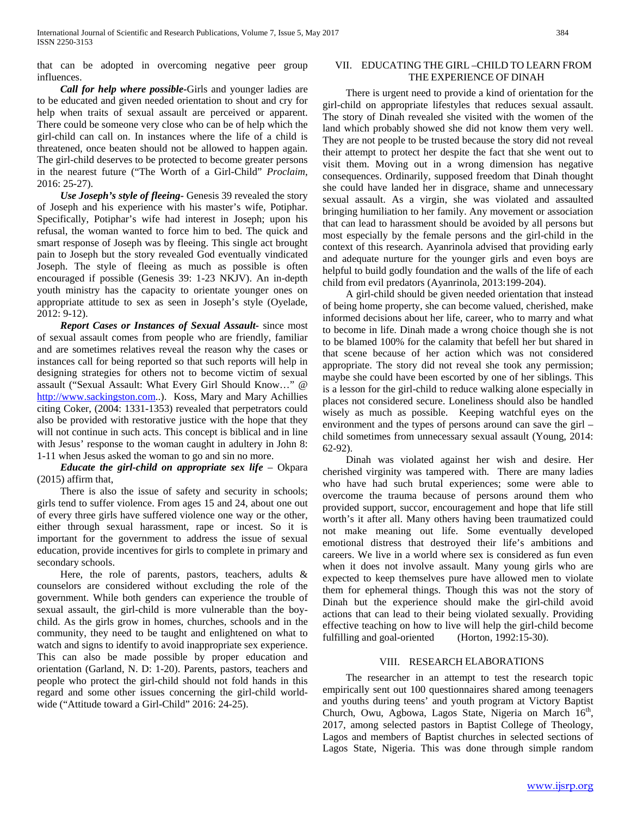that can be adopted in overcoming negative peer group influences.

 *Call for help where possible-*Girls and younger ladies are to be educated and given needed orientation to shout and cry for help when traits of sexual assault are perceived or apparent. There could be someone very close who can be of help which the girl-child can call on. In instances where the life of a child is threatened, once beaten should not be allowed to happen again. The girl-child deserves to be protected to become greater persons in the nearest future ("The Worth of a Girl-Child" *Proclaim*, 2016: 25-27).

 *Use Joseph's style of fleeing-* Genesis 39 revealed the story of Joseph and his experience with his master's wife, Potiphar. Specifically, Potiphar's wife had interest in Joseph; upon his refusal, the woman wanted to force him to bed. The quick and smart response of Joseph was by fleeing. This single act brought pain to Joseph but the story revealed God eventually vindicated Joseph. The style of fleeing as much as possible is often encouraged if possible (Genesis 39: 1-23 NKJV). An in-depth youth ministry has the capacity to orientate younger ones on appropriate attitude to sex as seen in Joseph's style (Oyelade, 2012: 9-12).

 *Report Cases or Instances of Sexual Assault-* since most of sexual assault comes from people who are friendly, familiar and are sometimes relatives reveal the reason why the cases or instances call for being reported so that such reports will help in designing strategies for others not to become victim of sexual assault ("Sexual Assault: What Every Girl Should Know…" @ [http://www.sackingston.com.](http://www.sackingston.com/).). Koss, Mary and Mary Achillies citing Coker, (2004: 1331-1353) revealed that perpetrators could also be provided with restorative justice with the hope that they will not continue in such acts. This concept is biblical and in line with Jesus' response to the woman caught in adultery in John 8: 1-11 when Jesus asked the woman to go and sin no more.

*Educate the girl-child on appropriate sex life – Okpara* (2015) affirm that,

 There is also the issue of safety and security in schools; girls tend to suffer violence. From ages 15 and 24, about one out of every three girls have suffered violence one way or the other, either through sexual harassment, rape or incest. So it is important for the government to address the issue of sexual education, provide incentives for girls to complete in primary and secondary schools.

 Here, the role of parents, pastors, teachers, adults & counselors are considered without excluding the role of the government. While both genders can experience the trouble of sexual assault, the girl-child is more vulnerable than the boychild. As the girls grow in homes, churches, schools and in the community, they need to be taught and enlightened on what to watch and signs to identify to avoid inappropriate sex experience. This can also be made possible by proper education and orientation (Garland, N. D: 1-20). Parents, pastors, teachers and people who protect the girl-child should not fold hands in this regard and some other issues concerning the girl-child worldwide ("Attitude toward a Girl-Child" 2016: 24-25).

### VII. EDUCATING THE GIRL –CHILD TO LEARN FROM THE EXPERIENCE OF DINAH

 There is urgent need to provide a kind of orientation for the girl-child on appropriate lifestyles that reduces sexual assault. The story of Dinah revealed she visited with the women of the land which probably showed she did not know them very well. They are not people to be trusted because the story did not reveal their attempt to protect her despite the fact that she went out to visit them. Moving out in a wrong dimension has negative consequences. Ordinarily, supposed freedom that Dinah thought she could have landed her in disgrace, shame and unnecessary sexual assault. As a virgin, she was violated and assaulted bringing humiliation to her family. Any movement or association that can lead to harassment should be avoided by all persons but most especially by the female persons and the girl-child in the context of this research. Ayanrinola advised that providing early and adequate nurture for the younger girls and even boys are helpful to build godly foundation and the walls of the life of each child from evil predators (Ayanrinola, 2013:199-204).

 A girl-child should be given needed orientation that instead of being home property, she can become valued, cherished, make informed decisions about her life, career, who to marry and what to become in life. Dinah made a wrong choice though she is not to be blamed 100% for the calamity that befell her but shared in that scene because of her action which was not considered appropriate. The story did not reveal she took any permission; maybe she could have been escorted by one of her siblings. This is a lesson for the girl-child to reduce walking alone especially in places not considered secure. Loneliness should also be handled wisely as much as possible. Keeping watchful eyes on the environment and the types of persons around can save the girl – child sometimes from unnecessary sexual assault (Young, 2014: 62-92).

 Dinah was violated against her wish and desire. Her cherished virginity was tampered with. There are many ladies who have had such brutal experiences; some were able to overcome the trauma because of persons around them who provided support, succor, encouragement and hope that life still worth's it after all. Many others having been traumatized could not make meaning out life. Some eventually developed emotional distress that destroyed their life's ambitions and careers. We live in a world where sex is considered as fun even when it does not involve assault. Many young girls who are expected to keep themselves pure have allowed men to violate them for ephemeral things. Though this was not the story of Dinah but the experience should make the girl-child avoid actions that can lead to their being violated sexually. Providing effective teaching on how to live will help the girl-child become fulfilling and goal-oriented (Horton, 1992:15-30).

### VIII. RESEARCH ELABORATIONS

 The researcher in an attempt to test the research topic empirically sent out 100 questionnaires shared among teenagers and youths during teens' and youth program at Victory Baptist Church, Owu, Agbowa, Lagos State, Nigeria on March 16<sup>th</sup>, 2017, among selected pastors in Baptist College of Theology, Lagos and members of Baptist churches in selected sections of Lagos State, Nigeria. This was done through simple random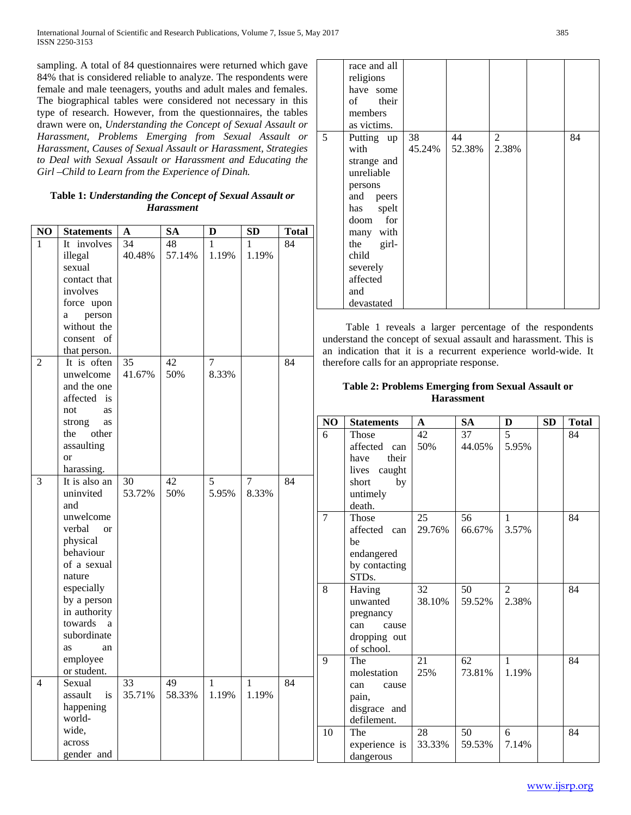sampling. A total of 84 questionnaires were returned which gave 84% that is considered reliable to analyze. The respondents were female and male teenagers, youths and adult males and females. The biographical tables were considered not necessary in this type of research. However, from the questionnaires, the tables drawn were on, *Understanding the Concept of Sexual Assault or Harassment, Problems Emerging from Sexual Assault or Harassment, Causes of Sexual Assault or Harassment, Strategies to Deal with Sexual Assault or Harassment and Educating the Girl –Child to Learn from the Experience of Dinah.*

## **Table 1:** *Understanding the Concept of Sexual Assault or Harassment*

|                |                              |        |           |              |              |              |              | uuun<br><b>TOT</b>    |
|----------------|------------------------------|--------|-----------|--------------|--------------|--------------|--------------|-----------------------|
| NO             | <b>Statements</b>            | A      | <b>SA</b> | D            | <b>SD</b>    | <b>Total</b> |              | many with             |
| 1              | It involves                  | 34     | 48        | 1            | 1            | 84           |              | the<br>girl-          |
|                | illegal                      | 40.48% | 57.14%    | 1.19%        | 1.19%        |              |              | child                 |
|                | sexual                       |        |           |              |              |              |              | severely              |
|                | contact that                 |        |           |              |              |              |              | affected              |
|                | involves                     |        |           |              |              |              |              | and                   |
|                | force upon                   |        |           |              |              |              |              | devastated            |
|                | person<br>a                  |        |           |              |              |              |              |                       |
|                | without the                  |        |           |              |              |              |              | Table 1 reve          |
|                | consent of                   |        |           |              |              |              |              | understand the con    |
|                | that person.                 |        |           |              |              |              |              | an indication that    |
| $\overline{2}$ | It is often                  | 35     | 42        | $\tau$       |              | 84           |              | therefore calls for a |
|                | unwelcome                    | 41.67% | 50%       | 8.33%        |              |              |              |                       |
|                | and the one                  |        |           |              |              |              |              | <b>Table 2: Prol</b>  |
|                | affected is                  |        |           |              |              |              |              |                       |
|                |                              |        |           |              |              |              |              |                       |
|                | not<br>as                    |        |           |              |              |              |              |                       |
|                | strong<br>as<br>other<br>the |        |           |              |              |              | $\bf NO$     | <b>Statements</b>     |
|                |                              |        |           |              |              |              | 6            | Those                 |
|                | assaulting                   |        |           |              |              |              |              | affected ca           |
|                | or                           |        |           |              |              |              |              | the<br>have           |
|                | harassing.                   |        |           |              |              |              |              | lives<br>caugl        |
| 3              | It is also an                | 30     | 42        | 5            | 7            | 84           |              | short<br>b            |
|                | uninvited                    | 53.72% | 50%       | 5.95%        | 8.33%        |              |              | untimely              |
|                | and                          |        |           |              |              |              |              | death.                |
|                | unwelcome                    |        |           |              |              |              | 7            | Those                 |
|                | verbal<br><b>or</b>          |        |           |              |              |              |              | affected ca           |
|                | physical                     |        |           |              |              |              |              | be                    |
|                | behaviour                    |        |           |              |              |              |              | endangered            |
|                | of a sexual                  |        |           |              |              |              |              | by contactin          |
|                | nature                       |        |           |              |              |              |              | STDs.                 |
|                | especially                   |        |           |              |              |              | 8            | Having                |
|                | by a person                  |        |           |              |              |              |              | unwanted              |
|                | in authority                 |        |           |              |              |              |              | pregnancy             |
|                | towards<br>a                 |        |           |              |              |              |              | can<br>caus           |
|                | subordinate                  |        |           |              |              |              |              | dropping or           |
|                | as<br>an                     |        |           |              |              |              |              | of school.            |
|                | employee                     |        |           |              |              |              | $\mathbf{Q}$ | The                   |
|                | or student.                  |        |           |              |              |              |              | molestation           |
| 4              | Sexual                       | 33     | 49        | $\mathbf{1}$ | $\mathbf{1}$ | 84           |              | can<br>caus           |
|                | assault<br>is                | 35.71% | 58.33%    | 1.19%        | 1.19%        |              |              | pain,                 |
|                | happening                    |        |           |              |              |              |              | disgrace an           |
|                | world-                       |        |           |              |              |              |              | defilement.           |
|                | wide,                        |        |           |              |              |              | 10           | The                   |
|                | across                       |        |           |              |              |              |              | experience            |
|                | gender and                   |        |           |              |              |              |              |                       |
|                |                              |        |           |              |              |              |              | dangerous             |

|   | race and all<br>religions<br>have some<br>of their<br>members<br>as victims.                                                                                                     |              |              |                         |    |
|---|----------------------------------------------------------------------------------------------------------------------------------------------------------------------------------|--------------|--------------|-------------------------|----|
| 5 | Putting up<br>with<br>strange and<br>unreliable<br>persons<br>and peers<br>has spelt<br>doom for<br>many with<br>the girl-<br>child<br>severely<br>affected<br>and<br>devastated | 38<br>45.24% | 44<br>52.38% | $\overline{2}$<br>2.38% | 84 |

eals a larger percentage of the respondents ncept of sexual assault and harassment. This is it is a recurrent experience world-wide. It an appropriate response.

## **Dems Emerging from Sexual Assault or Harassment**

|                | NO             | <b>Statements</b>             | $\mathbf{A}$ | <b>SA</b> | $\mathbf{D}$ | SD | <b>Total</b> |
|----------------|----------------|-------------------------------|--------------|-----------|--------------|----|--------------|
|                | 6              | Those                         | 42           | 37        | 5            |    | 84           |
|                |                | affected can<br>their<br>have | 50%          | 44.05%    | 5.95%        |    |              |
|                |                | lives caught                  |              |           |              |    |              |
| $\overline{4}$ |                | by<br>short                   |              |           |              |    |              |
|                |                | untimely                      |              |           |              |    |              |
|                | $\overline{7}$ | death.<br>Those               | 25           | 56        | 1            |    | 84           |
|                |                | affected can                  | 29.76%       | 66.67%    | 3.57%        |    |              |
|                |                | be                            |              |           |              |    |              |
|                |                | endangered                    |              |           |              |    |              |
|                |                | by contacting                 |              |           |              |    |              |
|                |                | STD <sub>s</sub> .            |              |           |              |    |              |
|                | 8              | Having                        | 32<br>38.10% | 50        | 2<br>2.38%   |    | 84           |
|                |                | unwanted<br>pregnancy         |              | 59.52%    |              |    |              |
|                |                | can<br>cause                  |              |           |              |    |              |
|                |                | dropping out                  |              |           |              |    |              |
|                |                | of school.                    |              |           |              |    |              |
|                | 9              | The                           | 21           | 62        | $\mathbf{1}$ |    | 84           |
| $\overline{4}$ |                | molestation                   | 25%          | 73.81%    | 1.19%        |    |              |
|                |                | can<br>cause                  |              |           |              |    |              |
|                |                | pain,                         |              |           |              |    |              |
|                |                | disgrace and<br>defilement.   |              |           |              |    |              |
|                | 10             | The                           | 28           | 50        | 6            |    | 84           |
|                |                | experience is                 | 33.33%       | 59.53%    | 7.14%        |    |              |
|                |                | dangerous                     |              |           |              |    |              |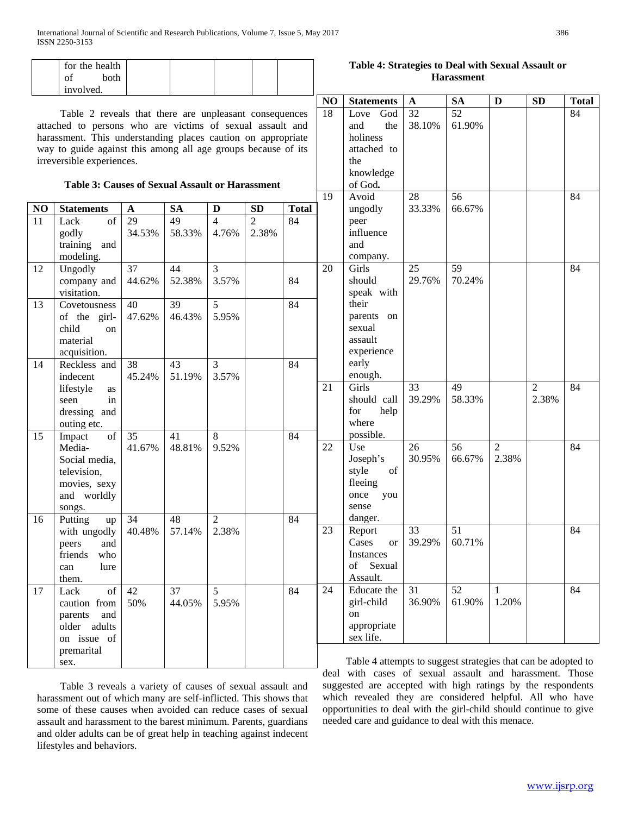|                | for the health<br>of<br>both<br>involved.                                                                                                                                                                                                                                                                                                   |                           |                           |                         |                         |              |          | Table 4: Strategies to Deal with Sexual Assault or<br><b>Harassment</b>                      |                    |                    |                         |                         |              |  |
|----------------|---------------------------------------------------------------------------------------------------------------------------------------------------------------------------------------------------------------------------------------------------------------------------------------------------------------------------------------------|---------------------------|---------------------------|-------------------------|-------------------------|--------------|----------|----------------------------------------------------------------------------------------------|--------------------|--------------------|-------------------------|-------------------------|--------------|--|
|                |                                                                                                                                                                                                                                                                                                                                             |                           |                           |                         |                         |              | NO       | <b>Statements</b>                                                                            | $\mathbf A$        | <b>SA</b>          | D                       | <b>SD</b>               | <b>Total</b> |  |
|                | Table 2 reveals that there are unpleasant consequences<br>attached to persons who are victims of sexual assault and<br>harassment. This understanding places caution on appropriate<br>way to guide against this among all age groups because of its<br>irreversible experiences.<br><b>Table 3: Causes of Sexual Assault or Harassment</b> |                           |                           |                         |                         |              | 18<br>19 | God<br>Love<br>and<br>the<br>holiness<br>attached to<br>the<br>knowledge<br>of God.<br>Avoid | 32<br>38.10%<br>28 | 52<br>61.90%<br>56 |                         |                         | 84<br>84     |  |
| N <sub>O</sub> | <b>Statements</b>                                                                                                                                                                                                                                                                                                                           | $\mathbf{A}$              | <b>SA</b>                 | $\mathbf{D}$            | SD                      | <b>Total</b> |          | ungodly                                                                                      | 33.33%             | 66.67%             |                         |                         |              |  |
| 11             | $\overline{\text{of}}$<br>Lack<br>godly<br>training and<br>modeling.                                                                                                                                                                                                                                                                        | $\overline{29}$<br>34.53% | $\overline{49}$<br>58.33% | $\overline{4}$<br>4.76% | $\overline{2}$<br>2.38% | 84           |          | peer<br>influence<br>and<br>company.                                                         |                    |                    |                         |                         |              |  |
| 12             | Ungodly<br>company and<br>visitation.                                                                                                                                                                                                                                                                                                       | 37<br>44.62%              | 44<br>52.38%              | 3<br>3.57%              |                         | 84           | 20       | Girls<br>should<br>speak with                                                                | 25<br>29.76%       | 59<br>70.24%       |                         |                         | 84           |  |
| 13             | Covetousness<br>of the girl-<br>child<br>on<br>material<br>acquisition.                                                                                                                                                                                                                                                                     | 40<br>47.62%              | 39<br>46.43%              | 5<br>5.95%              |                         | 84           |          | their<br>parents on<br>sexual<br>assault<br>experience                                       |                    |                    |                         |                         |              |  |
| 14             | Reckless and<br>indecent                                                                                                                                                                                                                                                                                                                    | 38<br>45.24%              | 43<br>51.19%              | $\overline{3}$<br>3.57% |                         | 84           |          | early<br>enough.                                                                             |                    |                    |                         |                         |              |  |
|                | lifestyle<br>as<br>seen<br>in<br>dressing and<br>outing etc.                                                                                                                                                                                                                                                                                |                           |                           |                         |                         |              | 21       | Girls<br>should call<br>for<br>help<br>where                                                 | 33<br>39.29%       | 49<br>58.33%       |                         | $\overline{2}$<br>2.38% | 84           |  |
| 15             | of<br>Impact<br>Media-<br>Social media,<br>television,<br>movies, sexy<br>and worldly<br>songs.                                                                                                                                                                                                                                             | 35<br>41.67%              | 41<br>48.81%              | 8<br>9.52%              |                         | 84           | 22       | possible.<br>Use<br>Joseph's<br>style<br>of<br>fleeing<br>once<br>you<br>sense               | 26<br>30.95%       | 56<br>66.67%       | $\overline{2}$<br>2.38% |                         | 84           |  |
| 16             | Putting<br>up<br>with ungodly<br>peers<br>and<br>friends<br>who<br>lure<br>can<br>them.                                                                                                                                                                                                                                                     | 34<br>40.48%              | 48<br>57.14%              | $\overline{2}$<br>2.38% |                         | 84           | 23       | danger.<br>Report<br>Cases<br><b>or</b><br>Instances<br>of Sexual<br>Assault.                | 33<br>39.29%       | 51<br>60.71%       |                         |                         | 84           |  |
| 17             | of<br>Lack<br>caution from<br>parents<br>and<br>older adults<br>on issue of<br>premarital                                                                                                                                                                                                                                                   | 42<br>50%                 | 37<br>44.05%              | 5<br>5.95%              |                         | 84           | 24       | Educate the<br>girl-child<br>on<br>appropriate<br>sex life.                                  | 31<br>36.90%       | 52<br>61.90%       | 1<br>1.20%              |                         | 84           |  |
|                | sex.                                                                                                                                                                                                                                                                                                                                        |                           |                           |                         |                         |              |          | Table 4 attempts to suggest strategies that can be adopted to                                |                    |                    |                         |                         |              |  |

 Table 3 reveals a variety of causes of sexual assault and harassment out of which many are self-inflicted. This shows that some of these causes when avoided can reduce cases of sexual assault and harassment to the barest minimum. Parents, guardians and older adults can be of great help in teaching against indecent lifestyles and behaviors.

 Table 4 attempts to suggest strategies that can be adopted to deal with cases of sexual assault and harassment. Those suggested are accepted with high ratings by the respondents which revealed they are considered helpful. All who have opportunities to deal with the girl-child should continue to give needed care and guidance to deal with this menace.

## **Table 4: Strategies to Deal with Sexual Assault or**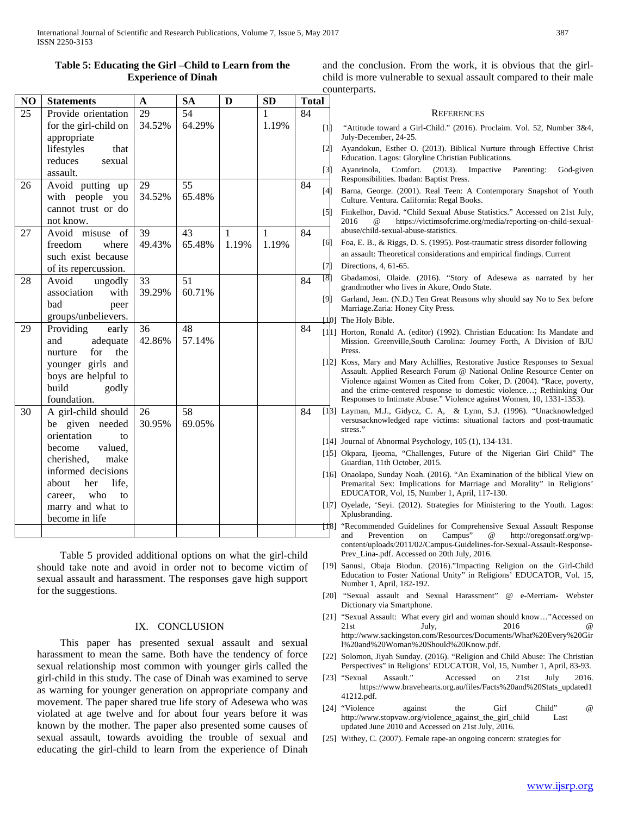54  $64.200$  1  $1.109$  84

## **Table 5: Educating the Girl –Child to Learn from the Experience of Dinah**

**NO Statements A SA D SD Total**

29 34.52%

25 Provide orientation for the girl-child on and the conclusion. From the work, it is obvious that the girlchild is more vulnerable to sexual assault compared to their male counterparts.

#### **REFERENCES**

- [1] "Attitude toward a Girl-Child." (2016). Proclaim. Vol. 52, Number 3&4, July-December, 24-25.
- Ayandokun, Esther O. (2013). Biblical Nurture through Effective Christ Education. Lagos: Gloryline Christian Publications.
- Ayanrinola, Comfort. (2013). Impactive Parenting: God-given Responsibilities. Ibadan: Baptist Press.
- Barna, George. (2001). Real Teen: A Contemporary Snapshot of Youth Culture. Ventura. California: Regal Books.
- Finkelhor, David. "Child Sexual Abuse Statistics." Accessed on 21st July, 2016 @ https://victimsofcrime.org/media/reporting-on-child-sexualabuse/child-sexual-abuse-statistics.
- [6] Foa, E. B., & Riggs, D. S. (1995). Post-traumatic stress disorder following an assault: Theoretical considerations and empirical findings. Current Directions, 4, 61-65.
- Gbadamosi, Olaide. (2016). "Story of Adesewa as narrated by her grandmother who lives in Akure, Ondo State.
- Garland, Jean. (N.D.) Ten Great Reasons why should say No to Sex before Marriage.Zaria: Honey City Press.

[10] The Holy Bible.

- [11] Horton, Ronald A. (editor) (1992). Christian Education: Its Mandate and Mission. Greenville,South Carolina: Journey Forth, A Division of BJU Press.
- [12] Koss, Mary and Mary Achillies, Restorative Justice Responses to Sexual Assault. Applied Research Forum @ National Online Resource Center on Violence against Women as Cited from Coker, D. (2004). "Race, poverty, and the crime-centered response to domestic violence…; Rethinking Our Responses to Intimate Abuse." Violence against Women, 10, 1331-1353).
- [13] Layman, M.J., Gidycz, C. A, & Lynn, S.J. (1996). "Unacknowledged versusacknowledged rape victims: situational factors and post-traumatic stress."
- [14] Journal of Abnormal Psychology, 105 (1), 134-131.
- [15] Okpara, Ijeoma, "Challenges, Future of the Nigerian Girl Child" The Guardian, 11th October, 2015.
- [16] Onaolapo, Sunday Noah. (2016). "An Examination of the biblical View on Premarital Sex: Implications for Marriage and Morality" in Religions' EDUCATOR, Vol, 15, Number 1, April, 117-130.
- [17] Oyelade, 'Seyi. (2012). Strategies for Ministering to the Youth. Lagos: Xplusbranding.
- "Recommended Guidelines for Comprehensive Sexual Assault Response and Prevention on Campus" @ http://oregonsatf.org/wpcontent/uploads/2011/02/Campus-Guidelines-for-Sexual-Assault-Response-Prev\_Lina-.pdf. Accessed on 20th July, 2016.
- [19] Sanusi, Obaja Biodun. (2016)."Impacting Religion on the Girl-Child Education to Foster National Unity" in Religions' EDUCATOR, Vol. 15, Number 1, April, 182-192.
- [20] "Sexual assault and Sexual Harassment" @ e-Merriam- Webster Dictionary via Smartphone.
- [21] "Sexual Assault: What every girl and woman should know…"Accessed on 21st July, 2016 **@** http://www.sackingston.com/Resources/Documents/What%20Every%20Gir l%20and%20Woman%20Should%20Know.pdf.
- [22] Solomon, Jiyah Sunday. (2016). "Religion and Child Abuse: The Christian Perspectives" in Religions' EDUCATOR, Vol, 15, Number 1, April, 83-93.
- [23] "Sexual Assault." Accessed on 21st July 2016. https://www.bravehearts.org.au/files/Facts%20and%20Stats\_updated1 41212.pdf.
- [24] "Violence against the Girl Child" @ http://www.stopvaw.org/violence\_against\_the\_girl\_child Last updated June 2010 and Accessed on 21st July, 2016.
- [25] Withey, C. (2007). Female rape-an ongoing concern: strategies for

|        | $10f$ the girl-child $0f$<br>appropriate | $34.32\%$    | 04.29%       |              | 1.19% |    | $[1]$                                                                                                                                                                                                                                                                                                                                                                                                                                                                                                                                                                                                                                                                                                                                                                                                                                                                                                                                                                                                                                 |
|--------|------------------------------------------|--------------|--------------|--------------|-------|----|---------------------------------------------------------------------------------------------------------------------------------------------------------------------------------------------------------------------------------------------------------------------------------------------------------------------------------------------------------------------------------------------------------------------------------------------------------------------------------------------------------------------------------------------------------------------------------------------------------------------------------------------------------------------------------------------------------------------------------------------------------------------------------------------------------------------------------------------------------------------------------------------------------------------------------------------------------------------------------------------------------------------------------------|
|        | lifestyles<br>that                       |              |              |              |       |    | $[2] % \centering \includegraphics[width=0.8\textwidth]{images/TrDiS/N-Architecture.png} % \caption{The first two different values of the parameter $\Sigma$ and the first two different values of the parameter $1$ and the first two different values of the parameter $1$. The first two different values of the parameter $1$. The first two different values of the parameter $1$. The first two different values of the parameter $1$. The first two different values of the parameter $1$. The first two different values of the parameter $1$. The first two different values of the parameter $1$. The first two different values of the parameter $1$. The first two different values of the parameter $1$. The first two different values of the parameter $1$. The first two different values of the parameter $1$. The first two different values of the parameter $1$. The first two different values of the parameter $1$. The first two different values of the parameter $1$. The first two different values of the$ |
|        | reduces<br>sexual                        |              |              |              |       |    |                                                                                                                                                                                                                                                                                                                                                                                                                                                                                                                                                                                                                                                                                                                                                                                                                                                                                                                                                                                                                                       |
|        | assault.                                 |              |              |              |       |    | $[3]$                                                                                                                                                                                                                                                                                                                                                                                                                                                                                                                                                                                                                                                                                                                                                                                                                                                                                                                                                                                                                                 |
| 26     | Avoid putting up                         | 29           | 55           |              |       | 84 | [4                                                                                                                                                                                                                                                                                                                                                                                                                                                                                                                                                                                                                                                                                                                                                                                                                                                                                                                                                                                                                                    |
|        | with people you                          | 34.52%       | 65.48%       |              |       |    |                                                                                                                                                                                                                                                                                                                                                                                                                                                                                                                                                                                                                                                                                                                                                                                                                                                                                                                                                                                                                                       |
|        | cannot trust or do                       |              |              |              |       |    | [5]                                                                                                                                                                                                                                                                                                                                                                                                                                                                                                                                                                                                                                                                                                                                                                                                                                                                                                                                                                                                                                   |
|        | not know.                                |              |              |              |       |    |                                                                                                                                                                                                                                                                                                                                                                                                                                                                                                                                                                                                                                                                                                                                                                                                                                                                                                                                                                                                                                       |
| $27\,$ | Avoid misuse<br>of                       | 39           | 43           | $\mathbf{1}$ | 1     | 84 |                                                                                                                                                                                                                                                                                                                                                                                                                                                                                                                                                                                                                                                                                                                                                                                                                                                                                                                                                                                                                                       |
|        | freedom<br>where                         | 49.43%       | 65.48%       | 1.19%        | 1.19% |    | [6                                                                                                                                                                                                                                                                                                                                                                                                                                                                                                                                                                                                                                                                                                                                                                                                                                                                                                                                                                                                                                    |
|        | such exist because                       |              |              |              |       |    | [7]                                                                                                                                                                                                                                                                                                                                                                                                                                                                                                                                                                                                                                                                                                                                                                                                                                                                                                                                                                                                                                   |
|        | of its repercussion.                     |              |              |              |       |    | [8                                                                                                                                                                                                                                                                                                                                                                                                                                                                                                                                                                                                                                                                                                                                                                                                                                                                                                                                                                                                                                    |
| 28     | Avoid<br>ungodly                         | 33<br>39.29% | 51<br>60.71% |              |       | 84 |                                                                                                                                                                                                                                                                                                                                                                                                                                                                                                                                                                                                                                                                                                                                                                                                                                                                                                                                                                                                                                       |
|        | with<br>association<br>bad               |              |              |              |       |    | [S                                                                                                                                                                                                                                                                                                                                                                                                                                                                                                                                                                                                                                                                                                                                                                                                                                                                                                                                                                                                                                    |
|        | peer<br>groups/unbelievers.              |              |              |              |       |    |                                                                                                                                                                                                                                                                                                                                                                                                                                                                                                                                                                                                                                                                                                                                                                                                                                                                                                                                                                                                                                       |
| 29     | Providing<br>early                       | 36           | 48           |              |       | 84 | $\mathfrak{u}$                                                                                                                                                                                                                                                                                                                                                                                                                                                                                                                                                                                                                                                                                                                                                                                                                                                                                                                                                                                                                        |
|        | and<br>adequate                          | 42.86%       | 57.14%       |              |       |    | $[1]$                                                                                                                                                                                                                                                                                                                                                                                                                                                                                                                                                                                                                                                                                                                                                                                                                                                                                                                                                                                                                                 |
|        | for<br>the<br>nurture                    |              |              |              |       |    |                                                                                                                                                                                                                                                                                                                                                                                                                                                                                                                                                                                                                                                                                                                                                                                                                                                                                                                                                                                                                                       |
|        | younger girls and                        |              |              |              |       |    | $[1]$                                                                                                                                                                                                                                                                                                                                                                                                                                                                                                                                                                                                                                                                                                                                                                                                                                                                                                                                                                                                                                 |
|        | boys are helpful to                      |              |              |              |       |    |                                                                                                                                                                                                                                                                                                                                                                                                                                                                                                                                                                                                                                                                                                                                                                                                                                                                                                                                                                                                                                       |
|        | build<br>godly                           |              |              |              |       |    |                                                                                                                                                                                                                                                                                                                                                                                                                                                                                                                                                                                                                                                                                                                                                                                                                                                                                                                                                                                                                                       |
|        | foundation.                              |              |              |              |       |    |                                                                                                                                                                                                                                                                                                                                                                                                                                                                                                                                                                                                                                                                                                                                                                                                                                                                                                                                                                                                                                       |
| 30     | A girl-child should                      | 26           | 58           |              |       | 84 | [1]                                                                                                                                                                                                                                                                                                                                                                                                                                                                                                                                                                                                                                                                                                                                                                                                                                                                                                                                                                                                                                   |
|        | given needed<br>be                       | 30.95%       | 69.05%       |              |       |    |                                                                                                                                                                                                                                                                                                                                                                                                                                                                                                                                                                                                                                                                                                                                                                                                                                                                                                                                                                                                                                       |
|        | orientation<br>to                        |              |              |              |       |    | [1]                                                                                                                                                                                                                                                                                                                                                                                                                                                                                                                                                                                                                                                                                                                                                                                                                                                                                                                                                                                                                                   |
|        | become<br>valued,                        |              |              |              |       |    | $[1]$                                                                                                                                                                                                                                                                                                                                                                                                                                                                                                                                                                                                                                                                                                                                                                                                                                                                                                                                                                                                                                 |
|        | cherished,<br>make                       |              |              |              |       |    |                                                                                                                                                                                                                                                                                                                                                                                                                                                                                                                                                                                                                                                                                                                                                                                                                                                                                                                                                                                                                                       |
|        | informed decisions                       |              |              |              |       |    | [1]                                                                                                                                                                                                                                                                                                                                                                                                                                                                                                                                                                                                                                                                                                                                                                                                                                                                                                                                                                                                                                   |
|        | about<br>her<br>life,                    |              |              |              |       |    |                                                                                                                                                                                                                                                                                                                                                                                                                                                                                                                                                                                                                                                                                                                                                                                                                                                                                                                                                                                                                                       |
|        | career, who<br>to                        |              |              |              |       |    |                                                                                                                                                                                                                                                                                                                                                                                                                                                                                                                                                                                                                                                                                                                                                                                                                                                                                                                                                                                                                                       |
|        | marry and what to                        |              |              |              |       |    | [1                                                                                                                                                                                                                                                                                                                                                                                                                                                                                                                                                                                                                                                                                                                                                                                                                                                                                                                                                                                                                                    |
|        | become in life                           |              |              |              |       |    | Ť1                                                                                                                                                                                                                                                                                                                                                                                                                                                                                                                                                                                                                                                                                                                                                                                                                                                                                                                                                                                                                                    |
|        |                                          |              |              |              |       |    |                                                                                                                                                                                                                                                                                                                                                                                                                                                                                                                                                                                                                                                                                                                                                                                                                                                                                                                                                                                                                                       |

 Table 5 provided additional options on what the girl-child should take note and avoid in order not to become victim of sexual assault and harassment. The responses gave high support for the suggestions.

### IX. CONCLUSION

 This paper has presented sexual assault and sexual harassment to mean the same. Both have the tendency of force sexual relationship most common with younger girls called the girl-child in this study. The case of Dinah was examined to serve as warning for younger generation on appropriate company and movement. The paper shared true life story of Adesewa who was violated at age twelve and for about four years before it was known by the mother. The paper also presented some causes of sexual assault, towards avoiding the trouble of sexual and educating the girl-child to learn from the experience of Dinah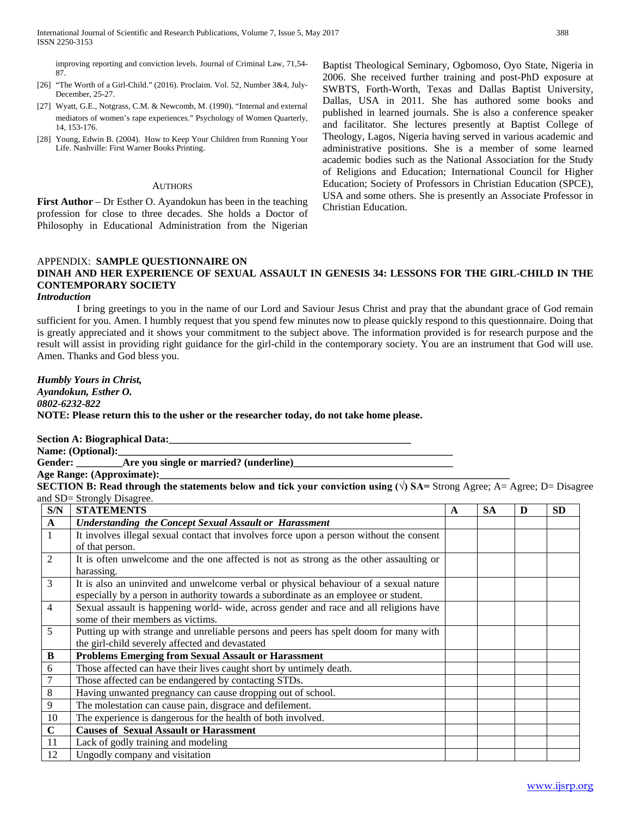improving reporting and conviction levels. Journal of Criminal Law, 71,54- 87.

- [26] "The Worth of a Girl-Child." (2016). Proclaim. Vol. 52, Number 3&4, July-December, 25-27.
- [27] Wyatt, G.E., Notgrass, C.M. & Newcomb, M. (1990). "Internal and external mediators of women's rape experiences." Psychology of Women Quarterly, 14, 153-176.
- [28] Young, Edwin B. (2004). How to Keep Your Children from Running Your Life. Nashville: First Warner Books Printing.

#### **AUTHORS**

**First Author** – Dr Esther O. Ayandokun has been in the teaching profession for close to three decades. She holds a Doctor of Philosophy in Educational Administration from the Nigerian

Baptist Theological Seminary, Ogbomoso, Oyo State, Nigeria in 2006. She received further training and post-PhD exposure at SWBTS, Forth-Worth, Texas and Dallas Baptist University, Dallas, USA in 2011. She has authored some books and published in learned journals. She is also a conference speaker and facilitator. She lectures presently at Baptist College of Theology, Lagos, Nigeria having served in various academic and administrative positions. She is a member of some learned academic bodies such as the National Association for the Study of Religions and Education; International Council for Higher Education; Society of Professors in Christian Education (SPCE), USA and some others. She is presently an Associate Professor in Christian Education.

## APPENDIX: **SAMPLE QUESTIONNAIRE ON DINAH AND HER EXPERIENCE OF SEXUAL ASSAULT IN GENESIS 34: LESSONS FOR THE GIRL-CHILD IN THE CONTEMPORARY SOCIETY**

### *Introduction*

I bring greetings to you in the name of our Lord and Saviour Jesus Christ and pray that the abundant grace of God remain sufficient for you. Amen. I humbly request that you spend few minutes now to please quickly respond to this questionnaire. Doing that is greatly appreciated and it shows your commitment to the subject above. The information provided is for research purpose and the result will assist in providing right guidance for the girl-child in the contemporary society. You are an instrument that God will use. Amen. Thanks and God bless you.

## *Humbly Yours in Christ, Ayandokun, Esther O. 0802-6232-822* **NOTE: Please return this to the usher or the researcher today, do not take home please.**

### Section A: Biographical Data:

**Name: (Optional):\_\_\_\_\_\_\_\_\_\_\_\_\_\_\_\_\_\_\_\_\_\_\_\_\_\_\_\_\_\_\_\_\_\_\_\_\_\_\_\_\_\_\_\_\_\_\_\_\_\_\_\_\_\_\_\_\_\_\_\_\_\_\_\_\_**

## **Gender: \_\_\_\_\_\_\_\_\_Are you single or married? (underline)\_\_\_\_\_\_\_\_\_\_\_\_\_\_\_\_\_\_\_\_\_\_\_\_\_\_\_\_\_\_\_**

Age Range: (Approximate):

**SECTION B: Read through the statements below and tick your conviction using**  $(\sqrt{})$  **SA= Strong Agree; A= Agree; D= Disagree** and SD= Strongly Disagree.

| S/N            | <b>STATEMENTS</b>                                                                        | A | <b>SA</b> | D | <b>SD</b> |
|----------------|------------------------------------------------------------------------------------------|---|-----------|---|-----------|
| $\mathbf{A}$   | <b>Understanding the Concept Sexual Assault or Harassment</b>                            |   |           |   |           |
| 1              | It involves illegal sexual contact that involves force upon a person without the consent |   |           |   |           |
|                | of that person.                                                                          |   |           |   |           |
| $\overline{2}$ | It is often unwelcome and the one affected is not as strong as the other assaulting or   |   |           |   |           |
|                | harassing.                                                                               |   |           |   |           |
| 3              | It is also an uninvited and unwelcome verbal or physical behaviour of a sexual nature    |   |           |   |           |
|                | especially by a person in authority towards a subordinate as an employee or student.     |   |           |   |           |
| 4              | Sexual assault is happening world- wide, across gender and race and all religions have   |   |           |   |           |
|                | some of their members as victims.                                                        |   |           |   |           |
| 5              | Putting up with strange and unreliable persons and peers has spelt doom for many with    |   |           |   |           |
|                | the girl-child severely affected and devastated                                          |   |           |   |           |
| B              | <b>Problems Emerging from Sexual Assault or Harassment</b>                               |   |           |   |           |
| 6              | Those affected can have their lives caught short by untimely death.                      |   |           |   |           |
| 7              | Those affected can be endangered by contacting STDs.                                     |   |           |   |           |
| 8              | Having unwanted pregnancy can cause dropping out of school.                              |   |           |   |           |
| 9              | The molestation can cause pain, disgrace and defilement.                                 |   |           |   |           |
| 10             | The experience is dangerous for the health of both involved.                             |   |           |   |           |
| $\mathbf C$    | <b>Causes of Sexual Assault or Harassment</b>                                            |   |           |   |           |
| 11             | Lack of godly training and modeling                                                      |   |           |   |           |
| 12             | Ungodly company and visitation                                                           |   |           |   |           |